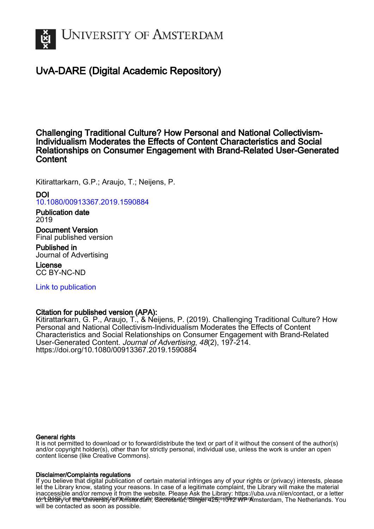

# UvA-DARE (Digital Academic Repository)

Challenging Traditional Culture? How Personal and National Collectivism-Individualism Moderates the Effects of Content Characteristics and Social Relationships on Consumer Engagement with Brand-Related User-Generated **Content** 

Kitirattarkarn, G.P.; Araujo, T.; Neijens, P.

# DOI

[10.1080/00913367.2019.1590884](https://doi.org/10.1080/00913367.2019.1590884)

Publication date 2019

Document Version Final published version

Published in Journal of Advertising

License CC BY-NC-ND

[Link to publication](https://dare.uva.nl/personal/pure/en/publications/challenging-traditional-culture-how-personal-and-national-collectivismindividualism-moderates-the-effects-of-content-characteristics-and-social-relationships-on-consumer-engagement-with-brandrelated-usergenerated-content(e35485dc-56e8-4a7a-9d96-bd035cc552da).html)

# Citation for published version (APA):

Kitirattarkarn, G. P., Araujo, T., & Neijens, P. (2019). Challenging Traditional Culture? How Personal and National Collectivism-Individualism Moderates the Effects of Content Characteristics and Social Relationships on Consumer Engagement with Brand-Related User-Generated Content. Journal of Advertising, 48(2), 197-214. <https://doi.org/10.1080/00913367.2019.1590884>

# General rights

It is not permitted to download or to forward/distribute the text or part of it without the consent of the author(s) and/or copyright holder(s), other than for strictly personal, individual use, unless the work is under an open content license (like Creative Commons).

# Disclaimer/Complaints regulations

UvA-DARE is a service provided by the library of the University of Amsterdam (http*s*://dare.uva.nl) If you believe that digital publication of certain material infringes any of your rights or (privacy) interests, please let the Library know, stating your reasons. In case of a legitimate complaint, the Library will make the material inaccessible and/or remove it from the website. Please Ask the Library: https://uba.uva.nl/en/contact, or a letter to:^LiblaFy��f የዘe/ওነብ/የe/tsity/bf/Arl1sterdam, ওভওপোধাধনি,"Singel 425,%1012 WP/Amsterdam, The Netherlands. You will be contacted as soon as possible.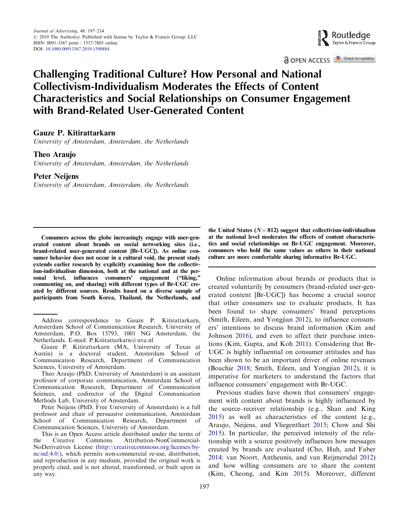

OPEN ACCESS<sup>A Check for updates</sup>

# <span id="page-1-0"></span>Challenging Traditional Culture? How Personal and National Collectivism-Individualism Moderates the Effects of Content Characteristics and Social Relationships on Consumer Engagement with Brand-Related User-Generated Content

# Gauze P. Kitirattarkarn

University of Amsterdam, Amsterdam, the Netherlands

#### Theo Araujo

University of Amsterdam, Amsterdam, the Netherlands

# Peter Neijens

University of Amsterdam, Amsterdam, the Netherlands

Consumers across the globe increasingly engage with user-generated content about brands on social networking sites (i.e., brand-related user-generated content [Br-UGC]). As online consumer behavior does not occur in a cultural void, the present study extends earlier research by explicitly examining how the collectivism-individualism dimension, both at the national and at the personal level, influences consumers' engagement ("liking," commenting on, and sharing) with different types of Br-UGC created by different sources. Results based on a diverse sample of participants from South Korea, Thailand, the Netherlands, and

Address correspondence to Gauze P. Kitirattarkarn, Amsterdam School of Communication Research, University of Amsterdam, P.O. Box 15793, 1001 NG Amsterdam, the Netherlands. E-mail: P.Kitirattarkarn@uva.nl

Theo Araujo (PhD, University of Amsterdam) is an assistant professor of corporate communication, Amsterdam School of Communication Research, Department of Communication Sciences, and codirector of the Digital Communication Methods Lab, University of Amsterdam.

Peter Neijens (PhD, Free University of Amsterdam) is a full professor and chair of persuasive communication, Amsterdam School of Communication Research, Department of Communication Sciences, University of Amsterdam.

This is an Open Access article distributed under the terms of the Creative Commons Attribution-NonCommercial-NoDerivatives License [\(http://creativecommons.org/licenses/by](http://creativecommons.org/licenses/by-nc-nd/4.0/)[nc-nd/4.0/](http://creativecommons.org/licenses/by-nc-nd/4.0/)), which permits non-commercial re-use, distribution, and reproduction in any medium, provided the original work is properly cited, and is not altered, transformed, or built upon in any way.

the United States ( $N = 812$ ) suggest that collectivism-individualism at the national level moderates the effects of content characteristics and social relationships on Br-UGC engagement. Moreover, consumers who hold the same values as others in their national culture are more comfortable sharing informative Br-UGC.

Online information about brands or products that is created voluntarily by consumers (brand-related user-generated content [Br-UGC]) has become a crucial source that other consumers use to evaluate products. It has been found to shape consumers' brand perceptions (Smith, Eileen, and Yongjian [2012\)](#page-15-0), to influence consumers' intentions to discuss brand information (Kim and Johnson [2016](#page-15-0)), and even to affect their purchase intentions (Kim, Gupta, and Koh [2011\)](#page-15-0). Considering that Br-UGC is highly influential on consumer attitudes and has been shown to be an important driver of online revenues (Boachie [2018](#page-14-0); Smith, Eileen, and Yongjian [2012\)](#page-15-0), it is imperative for marketers to understand the factors that influence consumers' engagement with Br-UGC.

Previous studies have shown that consumers' engagement with content about brands is highly influenced by the source–receiver relationship (e.g., Shan and King [2015\)](#page-15-0) as well as characteristics of the content (e.g., Araujo, Neijens, and Vliegenthart [2015;](#page-14-0) Chow and Shi [2015\)](#page-14-0). In particular, the perceived intensity of the relationship with a source positively influences how messages created by brands are evaluated (Cho, Huh, and Faber [2014;](#page-14-0) van Noort, Antheunis, and van Reijmersdal [2012\)](#page-15-0) and how willing consumers are to share the content (Kim, Cheong, and Kim [2015\)](#page-15-0). Moreover, different

Gauze P. Kitirattarkarn (MA, University of Texas at Austin) is a doctoral student, Amsterdam School of Communication Research, Department of Communication Sciences, University of Amsterdam.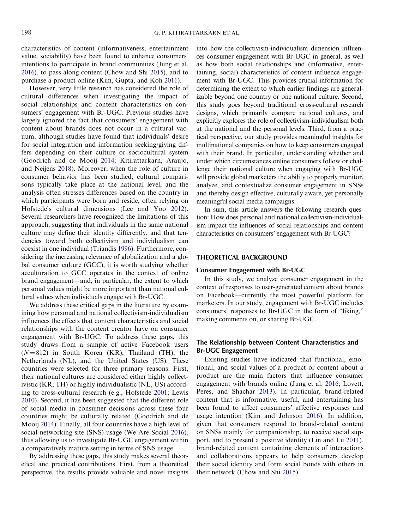<span id="page-2-0"></span>characteristics of content (informativeness, entertainment value, sociability) have been found to enhance consumers' intentions to participate in brand communities (Jung et al. [2016](#page-15-0)), to pass along content (Chow and Shi [2015](#page-14-0)), and to purchase a product online (Kim, Gupta, and Koh [2011\)](#page-15-0).

However, very little research has considered the role of cultural differences when investigating the impact of social relationships and content characteristics on consumers' engagement with Br-UGC. Previous studies have largely ignored the fact that consumers' engagement with content about brands does not occur in a cultural vacuum, although studies have found that individuals' desire for social integration and information seeking/giving differs depending on their culture or sociocultural system (Goodrich and de Mooij [2014](#page-15-0); Kitirattarkarn, Araujo, and Neijens [2018\)](#page-15-0). Moreover, when the role of culture in consumer behavior has been studied, cultural comparisons typically take place at the national level, and the analysis often stresses differences based on the country in which participants were born and reside, often relying on Hofstede's cultural dimensions (Lee and Yoo [2012\)](#page-15-0). Several researchers have recognized the limitations of this approach, suggesting that individuals in the same national culture may define their identity differently, and that tendencies toward both collectivism and individualism can coexist in one individual (Triandis [1996\)](#page-15-0). Furthermore, considering the increasing relevance of globalization and a global consumer culture (GCC), it is worth studying whether acculturation to GCC operates in the context of online brand engagement—and, in particular, the extent to which personal values might be more important than national cultural values when individuals engage with Br-UGC.

We address these critical gaps in the literature by examining how personal and national collectivism-individualism influences the effects that content characteristics and social relationships with the content creator have on consumer engagement with Br-UGC. To address these gaps, this study draws from a sample of active Facebook users  $(N = 812)$  in South Korea (KR), Thailand (TH), the Netherlands (NL), and the United States (US). These countries were selected for three primary reasons. First, their national cultures are considered either highly collectivistic (KR, TH) or highly individualistic (NL, US) according to cross-cultural research (e.g., Hofstede [2001](#page-15-0); Lewis [2010\)](#page-15-0). Second, it has been suggested that the different role of social media in consumer decisions across these four countries might be culturally related (Goodrich and de Mooij [2014\)](#page-15-0). Finally, all four countries have a high level of social networking site (SNS) usage (We Are Social [2016\)](#page-15-0), thus allowing us to investigate Br-UGC engagement within a comparatively mature setting in terms of SNS usage.

By addressing these gaps, this study makes several theoretical and practical contributions. First, from a theoretical perspective, the results provide valuable and novel insights into how the collectivism-individualism dimension influences consumer engagement with Br-UGC in general, as well as how both social relationships and (informative, entertaining, social) characteristics of content influence engagement with Br-UGC. This provides crucial information for determining the extent to which earlier findings are generalizable beyond one country or one national culture. Second, this study goes beyond traditional cross-cultural research designs, which primarily compare national cultures, and explicitly explores the role of collectivism-individualism both at the national and the personal levels. Third, from a practical perspective, our study provides meaningful insights for multinational companies on how to keep consumers engaged with their brand. In particular, understanding whether and under which circumstances online consumers follow or challenge their national culture when engaging with Br-UGC will provide global marketers the ability to properly monitor, analyze, and contextualize consumer engagement in SNSs and thereby design effective, culturally aware, yet personally meaningful social media campaigns.

In sum, this article answers the following research question: How does personal and national collectivism-individualism impact the influences of social relationships and content characteristics on consumers' engagement with Br-UGC?

#### THEORETICAL BACKGROUND

#### Consumer Engagement with Br-UGC

In this study, we analyze consumer engagement in the context of responses to user-generated content about brands on Facebook—currently the most powerful platform for marketers. In our study, engagement with Br-UGC includes consumers' responses to Br-UGC in the form of "liking," making comments on, or sharing Br-UGC.

# The Relationship between Content Characteristics and Br-UGC Engagement

Existing studies have indicated that functional, emotional, and social values of a product or content about a product are the main factors that influence consumer engagement with brands online (Jung et al. [2016;](#page-15-0) Lovett, Peres, and Shachar [2013\)](#page-15-0). In particular, brand-related content that is informative, useful, and entertaining has been found to affect consumers' affective responses and usage intention (Kim and Johnson [2016\)](#page-15-0). In addition, given that consumers respond to brand-related content on SNSs mainly for companionship, to receive social support, and to present a positive identity (Lin and Lu [2011\)](#page-15-0), brand-related content containing elements of interactions and collaborations appears to help consumers develop their social identity and form social bonds with others in their network (Chow and Shi [2015\)](#page-14-0).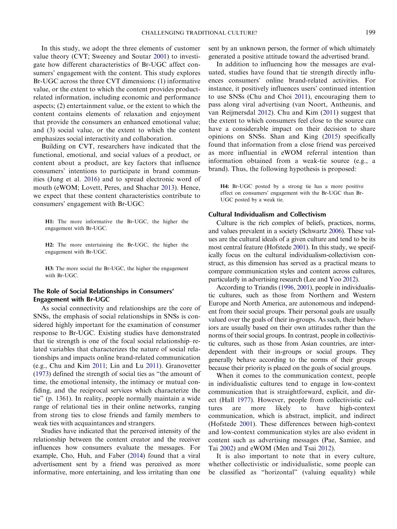<span id="page-3-0"></span>In this study, we adopt the three elements of customer value theory (CVT; Sweeney and Soutar [2001\)](#page-15-0) to investigate how different characteristics of Br-UGC affect consumers' engagement with the content. This study explores Br-UGC across the three CVT dimensions: (1) informative value, or the extent to which the content provides productrelated information, including economic and performance aspects; (2) entertainment value, or the extent to which the content contains elements of relaxation and enjoyment that provide the consumers an enhanced emotional value; and (3) social value, or the extent to which the content emphasizes social interactivity and collaboration.

Building on CVT, researchers have indicated that the functional, emotional, and social values of a product, or content about a product, are key factors that influence consumers' intentions to participate in brand communities (Jung et al. [2016\)](#page-15-0) and to spread electronic word of mouth (eWOM; Lovett, Peres, and Shachar [2013](#page-15-0)). Hence, we expect that these content characteristics contribute to consumers' engagement with Br-UGC:

H1: The more informative the Br-UGC, the higher the engagement with Br-UGC.

H2: The more entertaining the Br-UGC, the higher the engagement with Br-UGC.

H3: The more social the Br-UGC, the higher the engagement with Br-UGC.

### The Role of Social Relationships in Consumers' Engagement with Br-UGC

As social connectivity and relationships are the core of SNSs, the emphasis of social relationships in SNSs is considered highly important for the examination of consumer response to Br-UGC. Existing studies have demonstrated that tie strength is one of the focal social relationship–related variables that characterizes the nature of social relationships and impacts online brand-related communication (e.g., Chu and Kim [2011](#page-14-0); Lin and Lu [2011](#page-15-0)). Granovetter [\(1973\)](#page-15-0) defined the strength of social ties as "the amount of time, the emotional intensity, the intimacy or mutual confiding, and the reciprocal services which characterize the tie" (p. 1361). In reality, people normally maintain a wide range of relational ties in their online networks, ranging from strong ties to close friends and family members to weak ties with acquaintances and strangers.

Studies have indicated that the perceived intensity of the relationship between the content creator and the receiver influences how consumers evaluate the messages. For example, Cho, Huh, and Faber [\(2014\)](#page-14-0) found that a viral advertisement sent by a friend was perceived as more informative, more entertaining, and less irritating than one sent by an unknown person, the former of which ultimately generated a positive attitude toward the advertised brand.

In addition to influencing how the messages are evaluated, studies have found that tie strength directly influences consumers' online brand-related activities. For instance, it positively influences users' continued intention to use SNSs (Chu and Choi [2011\)](#page-14-0), encouraging them to pass along viral advertising (van Noort, Antheunis, and van Reijmersdal [2012\)](#page-15-0). Chu and Kim [\(2011](#page-14-0)) suggest that the extent to which consumers feel close to the source can have a considerable impact on their decision to share opinions on SNSs. Shan and King ([2015\)](#page-15-0) specifically found that information from a close friend was perceived as more influential in eWOM referral intention than information obtained from a weak-tie source (e.g., a brand). Thus, the following hypothesis is proposed:

H4: Br-UGC posted by a strong tie has a more positive effect on consumers' engagement with the Br-UGC than Br-UGC posted by a weak tie.

#### Cultural Individualism and Collectivism

Culture is the rich complex of beliefs, practices, norms, and values prevalent in a society (Schwartz [2006](#page-15-0)). These values are the cultural ideals of a given culture and tend to be its most central feature (Hofstede [2001\)](#page-15-0). In this study, we specifically focus on the cultural individualism-collectivism construct, as this dimension has served as a practical means to compare communication styles and content across cultures, particularly in advertising research (Lee and Yoo [2012](#page-15-0)).

According to Triandis [\(1996](#page-15-0), [2001\)](#page-15-0), people in individualistic cultures, such as those from Northern and Western Europe and North America, are autonomous and independent from their social groups. Their personal goals are usually valued over the goals of their in-groups. As such, their behaviors are usually based on their own attitudes rather than the norms of their social groups. In contrast, people in collectivistic cultures, such as those from Asian countries, are interdependent with their in-groups or social groups. They generally behave according to the norms of their groups because their priority is placed on the goals of social groups.

When it comes to the communication context, people in individualistic cultures tend to engage in low-context communication that is straightforward, explicit, and direct (Hall [1977\)](#page-15-0). However, people from collectivistic cultures are more likely to have high-context communication, which is abstract, implicit, and indirect (Hofstede [2001](#page-15-0)). These differences between high-context and low-context communication styles are also evident in content such as advertising messages (Pae, Samiee, and Tai [2002](#page-15-0)) and eWOM (Men and Tsai [2012](#page-15-0)).

It is also important to note that in every culture, whether collectivistic or individualistic, some people can be classified as "horizontal" (valuing equality) while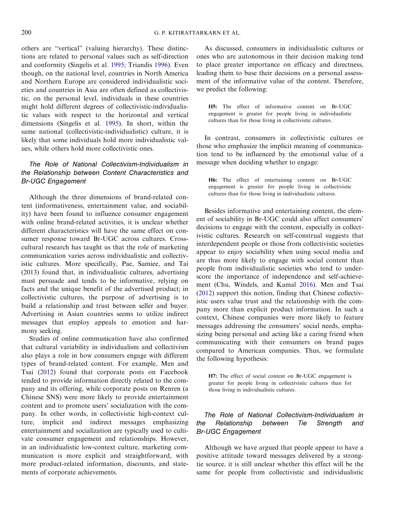<span id="page-4-0"></span>others are "vertical" (valuing hierarchy). These distinctions are related to personal values such as self-direction and conformity (Singelis et al. [1995;](#page-15-0) Triandis [1996\)](#page-15-0). Even though, on the national level, countries in North America and Northern Europe are considered individualistic societies and countries in Asia are often defined as collectivistic, on the personal level, individuals in these countries might hold different degrees of collectivistic-individualistic values with respect to the horizontal and vertical dimensions (Singelis et al. [1995\)](#page-15-0). In short, within the same national (collectivistic-individualistic) culture, it is likely that some individuals hold more individualistic values, while others hold more collectivistic ones.

# The Role of National Collectivism-Individualism in the Relationship between Content Characteristics and Br-UGC Engagement

Although the three dimensions of brand-related content (informativeness, entertainment value, and sociability) have been found to influence consumer engagement with online brand-related activities, it is unclear whether different characteristics will have the same effect on consumer response toward Br-UGC across cultures. Crosscultural research has taught us that the role of marketing communication varies across individualistic and collectivistic cultures. More specifically, Pae, Samiee, and Tai (2013) found that, in individualistic cultures, advertising must persuade and tends to be informative, relying on facts and the unique benefit of the advertised product; in collectivistic cultures, the purpose of advertising is to build a relationship and trust between seller and buyer. Advertising in Asian countries seems to utilize indirect messages that employ appeals to emotion and harmony seeking.

Studies of online communication have also confirmed that cultural variability in individualism and collectivism also plays a role in how consumers engage with different types of brand-related content. For example, Men and Tsai ([2012\)](#page-15-0) found that corporate posts on Facebook tended to provide information directly related to the company and its offering, while corporate posts on Renren (a Chinese SNS) were more likely to provide entertainment content and to promote users' socialization with the company. In other words, in collectivistic high-context culture, implicit and indirect messages emphasizing entertainment and socialization are typically used to cultivate consumer engagement and relationships. However, in an individualistic low-context culture, marketing communication is more explicit and straightforward, with more product-related information, discounts, and statements of corporate achievements.

As discussed, consumers in individualistic cultures or ones who are autonomous in their decision making tend to place greater importance on efficacy and directness, leading them to base their decisions on a personal assessment of the informative value of the content. Therefore, we predict the following:

H5: The effect of informative content on Br-UGC engagement is greater for people living in individualistic cultures than for those living in collectivistic cultures.

In contrast, consumers in collectivistic cultures or those who emphasize the implicit meaning of communication tend to be influenced by the emotional value of a message when deciding whether to engage:

H6: The effect of entertaining content on Br-UGC engagement is greater for people living in collectivistic cultures than for those living in individualistic cultures.

Besides informative and entertaining content, the element of sociability in Br-UGC could also affect consumers' decisions to engage with the content, especially in collectivistic cultures. Research on self-construal suggests that interdependent people or those from collectivistic societies appear to enjoy sociability when using social media and are thus more likely to engage with social content than people from individualistic societies who tend to underscore the importance of independence and self-achievement (Chu, Windels, and Kamal [2016](#page-14-0)). Men and Tsai [\(2012](#page-15-0)) support this notion, finding that Chinese collectivistic users value trust and the relationship with the company more than explicit product information. In such a context, Chinese companies were more likely to feature messages addressing the consumers' social needs, emphasizing being personal and acting like a caring friend when communicating with their consumers on brand pages compared to American companies. Thus, we formulate the following hypothesis:

H7: The effect of social content on Br-UGC engagement is greater for people living in collectivistic cultures than for those living in individualistic cultures.

The Role of National Collectivism-Individualism in the Relationship between Tie Strength and Br-UGC Engagement

Although we have argued that people appear to have a positive attitude toward messages delivered by a strongtie source, it is still unclear whether this effect will be the same for people from collectivistic and individualistic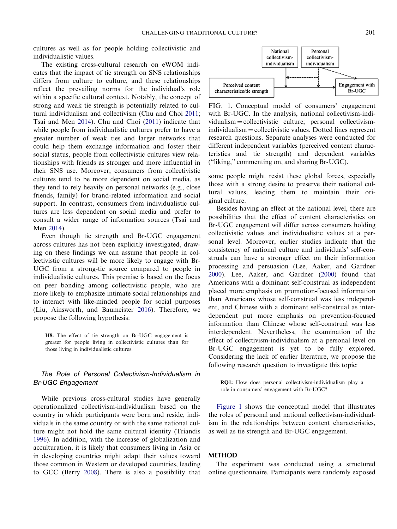<span id="page-5-0"></span>cultures as well as for people holding collectivistic and individualistic values.

The existing cross-cultural research on eWOM indicates that the impact of tie strength on SNS relationships differs from culture to culture, and these relationships reflect the prevailing norms for the individual's role within a specific cultural context. Notably, the concept of strong and weak tie strength is potentially related to cultural individualism and collectivism (Chu and Choi [2011](#page-14-0); Tsai and Men [2014](#page-15-0)). Chu and Choi [\(2011](#page-14-0)) indicate that while people from individualistic cultures prefer to have a greater number of weak ties and larger networks that could help them exchange information and foster their social status, people from collectivistic cultures view relationships with friends as stronger and more influential in their SNS use. Moreover, consumers from collectivistic cultures tend to be more dependent on social media, as they tend to rely heavily on personal networks (e.g., close friends, family) for brand-related information and social support. In contrast, consumers from individualistic cultures are less dependent on social media and prefer to consult a wider range of information sources (Tsai and Men [2014\)](#page-15-0).

Even though tie strength and Br-UGC engagement across cultures has not been explicitly investigated, drawing on these findings we can assume that people in collectivistic cultures will be more likely to engage with Br-UGC from a strong-tie source compared to people in individualistic cultures. This premise is based on the focus on peer bonding among collectivistic people, who are more likely to emphasize intimate social relationships and to interact with like-minded people for social purposes (Liu, Ainsworth, and Baumeister [2016](#page-15-0)). Therefore, we propose the following hypothesis:

H8: The effect of tie strength on Br-UGC engagement is greater for people living in collectivistic cultures than for those living in individualistic cultures.

# The Role of Personal Collectivism-Individualism in Br-UGC Engagement

While previous cross-cultural studies have generally operationalized collectivism-individualism based on the country in which participants were born and reside, individuals in the same country or with the same national culture might not hold the same cultural identity (Triandis [1996\)](#page-15-0). In addition, with the increase of globalization and acculturation, it is likely that consumers living in Asia or in developing countries might adapt their values toward those common in Western or developed countries, leading to GCC (Berry [2008](#page-14-0)). There is also a possibility that



FIG. 1. Conceptual model of consumers' engagement with Br-UGC. In the analysis, national collectivism-indi $vidualism = collectiveistic culture; personal collectiveism$  $individualism = collectiveistic values. Dotted lines represent$ research questions. Separate analyses were conducted for different independent variables (perceived content characteristics and tie strength) and dependent variables ("liking," commenting on, and sharing Br-UGC).

some people might resist these global forces, especially those with a strong desire to preserve their national cultural values, leading them to maintain their original culture.

Besides having an effect at the national level, there are possibilities that the effect of content characteristics on Br-UGC engagement will differ across consumers holding collectivistic values and individualistic values at a personal level. Moreover, earlier studies indicate that the consistency of national culture and individuals' self-construals can have a stronger effect on their information processing and persuasion (Lee, Aaker, and Gardner [2000\)](#page-15-0). Lee, Aaker, and Gardner [\(2000](#page-15-0)) found that Americans with a dominant self-construal as independent placed more emphasis on promotion-focused information than Americans whose self-construal was less independent, and Chinese with a dominant self-construal as interdependent put more emphasis on prevention-focused information than Chinese whose self-construal was less interdependent. Nevertheless, the examination of the effect of collectivism-individualism at a personal level on Br-UGC engagement is yet to be fully explored. Considering the lack of earlier literature, we propose the following research question to investigate this topic:

RQ1: How does personal collectivism-individualism play a role in consumers' engagement with Br-UGC?

Figure 1 shows the conceptual model that illustrates the roles of personal and national collectivism-individualism in the relationships between content characteristics, as well as tie strength and Br-UGC engagement.

#### METHOD

The experiment was conducted using a structured online questionnaire. Participants were randomly exposed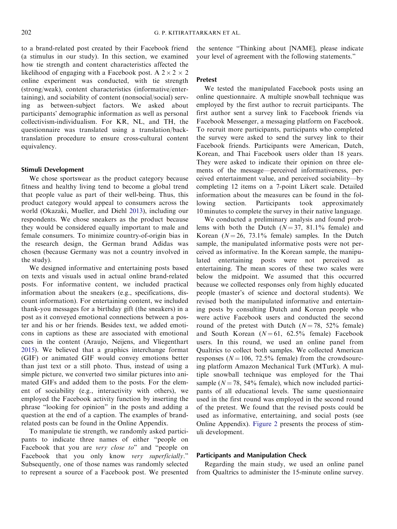<span id="page-6-0"></span>to a brand-related post created by their Facebook friend (a stimulus in our study). In this section, we examined how tie strength and content characteristics affected the likelihood of engaging with a Facebook post. A  $2 \times 2 \times 2$ online experiment was conducted, with tie strength (strong/weak), content characteristics (informative/entertaining), and sociability of content (nonsocial/social) serving as between-subject factors. We asked about participants' demographic information as well as personal collectivism-individualism. For KR, NL, and TH, the questionnaire was translated using a translation/backtranslation procedure to ensure cross-cultural content equivalency.

# Stimuli Development

We chose sportswear as the product category because fitness and healthy living tend to become a global trend that people value as part of their well-being. Thus, this product category would appeal to consumers across the world (Okazaki, Mueller, and Diehl [2013\)](#page-15-0), including our respondents. We chose sneakers as the product because they would be considered equally important to male and female consumers. To minimize country-of-origin bias in the research design, the German brand Adidas was chosen (because Germany was not a country involved in the study).

We designed informative and entertaining posts based on texts and visuals used in actual online brand-related posts. For informative content, we included practical information about the sneakers (e.g., specifications, discount information). For entertaining content, we included thank-you messages for a birthday gift (the sneakers) in a post as it conveyed emotional connections between a poster and his or her friends. Besides text, we added emoticons in captions as these are associated with emotional cues in the content (Araujo, Neijens, and Vliegenthart [2015\)](#page-14-0). We believed that a graphics interchange format (GIF) or animated GIF would convey emotions better than just text or a still photo. Thus, instead of using a simple picture, we converted two similar pictures into animated GIFs and added them to the posts. For the element of sociability (e.g., interactivity with others), we employed the Facebook activity function by inserting the phrase "looking for opinion" in the posts and adding a question at the end of a caption. The examples of brandrelated posts can be found in the Online Appendix.

To manipulate tie strength, we randomly asked participants to indicate three names of either "people on Facebook that you are very close to" and "people on Facebook that you only know very superficially." Subsequently, one of those names was randomly selected to represent a source of a Facebook post. We presented the sentence "Thinking about [NAME], please indicate your level of agreement with the following statements."

#### Pretest

We tested the manipulated Facebook posts using an online questionnaire. A multiple snowball technique was employed by the first author to recruit participants. The first author sent a survey link to Facebook friends via Facebook Messenger, a messaging platform on Facebook. To recruit more participants, participants who completed the survey were asked to send the survey link to their Facebook friends. Participants were American, Dutch, Korean, and Thai Facebook users older than 18 years. They were asked to indicate their opinion on three elements of the message—perceived informativeness, perceived entertainment value, and perceived sociability—by completing 12 items on a 7-point Likert scale. Detailed information about the measures can be found in the following section. Participants took approximately 10 minutes to complete the survey in their native language.

We conducted a preliminary analysis and found problems with both the Dutch  $(N = 37, 81.1\%$  female) and Korean  $(N = 26, 73.1\%$  female) samples. In the Dutch sample, the manipulated informative posts were not perceived as informative. In the Korean sample, the manipulated entertaining posts were not perceived as entertaining. The mean scores of these two scales were below the midpoint. We assumed that this occurred because we collected responses only from highly educated people (master's of science and doctoral students). We revised both the manipulated informative and entertaining posts by consulting Dutch and Korean people who were active Facebook users and conducted the second round of the pretest with Dutch  $(N = 78, 52\%$  female) and South Korean  $(N = 61, 62.5\%$  female) Facebook users. In this round, we used an online panel from Qualtrics to collect both samples. We collected American responses ( $N = 106$ , 72.5% female) from the crowdsourcing platform Amazon Mechanical Turk (MTurk). A multiple snowball technique was employed for the Thai sample ( $N = 78$ , 54% female), which now included participants of all educational levels. The same questionnaire used in the first round was employed in the second round of the pretest. We found that the revised posts could be used as informative, entertaining, and social posts (see Online Appendix). [Figure 2](#page-7-0) presents the process of stimuli development.

#### Participants and Manipulation Check

Regarding the main study, we used an online panel from Qualtrics to administer the 15-minute online survey.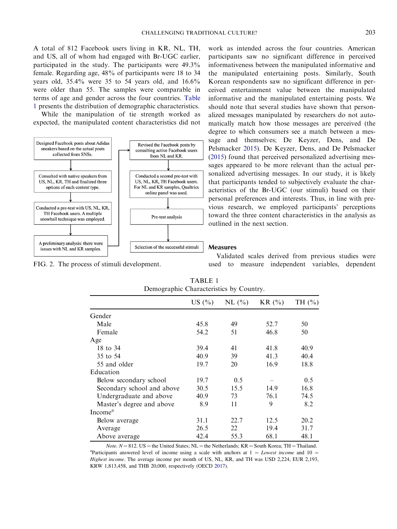<span id="page-7-0"></span>A total of 812 Facebook users living in KR, NL, TH, and US, all of whom had engaged with Br-UGC earlier, participated in the study. The participants were 49.3% female. Regarding age, 48% of participants were 18 to 34 years old, 35.4% were 35 to 54 years old, and 16.6% were older than 55. The samples were comparable in terms of age and gender across the four countries. Table 1 presents the distribution of demographic characteristics.

While the manipulation of tie strength worked as expected, the manipulated content characteristics did not



work as intended across the four countries. American participants saw no significant difference in perceived informativeness between the manipulated informative and the manipulated entertaining posts. Similarly, South Korean respondents saw no significant difference in perceived entertainment value between the manipulated informative and the manipulated entertaining posts. We should note that several studies have shown that personalized messages manipulated by researchers do not automatically match how those messages are perceived (the degree to which consumers see a match between a message and themselves; De Keyzer, Dens, and De Pelsmacker [2015](#page-14-0)). De Keyzer, Dens, and De Pelsmacker [\(2015](#page-14-0)) found that perceived personalized advertising messages appeared to be more relevant than the actual personalized advertising messages. In our study, it is likely that participants tended to subjectively evaluate the characteristics of the Br-UGC (our stimuli) based on their personal preferences and interests. Thus, in line with previous research, we employed participants' perceptions toward the three content characteristics in the analysis as outlined in the next section.

#### Measures

Validated scales derived from previous studies were FIG. 2. The process of stimuli development. used to measure independent variables, dependent

|                            | US $(\% )$ | NL(%) | KR(%) | TH $(\% )$ |
|----------------------------|------------|-------|-------|------------|
| Gender                     |            |       |       |            |
| Male                       | 45.8       | 49    | 52.7  | 50         |
| Female                     | 54.2       | 51    | 46.8  | 50         |
| Age                        |            |       |       |            |
| 18 to 34                   | 39.4       | 41    | 41.8  | 40.9       |
| 35 to 54                   | 40.9       | 39    | 41.3  | 40.4       |
| 55 and older               | 19.7       | 20    | 16.9  | 18.8       |
| Education                  |            |       |       |            |
| Below secondary school     | 19.7       | 0.5   |       | 0.5        |
| Secondary school and above | 30.5       | 15.5  | 14.9  | 16.8       |
| Undergraduate and above    | 40.9       | 73    | 76.1  | 74.5       |
| Master's degree and above  | 8.9        | 11    | 9     | 8.2        |
| Income <sup>a</sup>        |            |       |       |            |
| Below average              | 31.1       | 22.7  | 12.5  | 20.2       |
| Average                    | 26.5       | 22    | 19.4  | 31.7       |
| Above average              | 42.4       | 55.3  | 68.1  | 48.1       |

TABLE 1 Demographic Characteristics by Country.

*Note.*  $N = 812$ . US = the United States; NL = the Netherlands; KR = South Korea; TH = Thailand. <sup>a</sup>Participants answered level of income using a scale with anchors at  $1 =$  *Lowest income* and  $10 =$ Highest income. The average income per month of US, NL, KR, and TH was USD 2,224, EUR 2,193, KRW 1,813,458, and THB 20,000, respectively (OECD [2017\)](#page-15-0).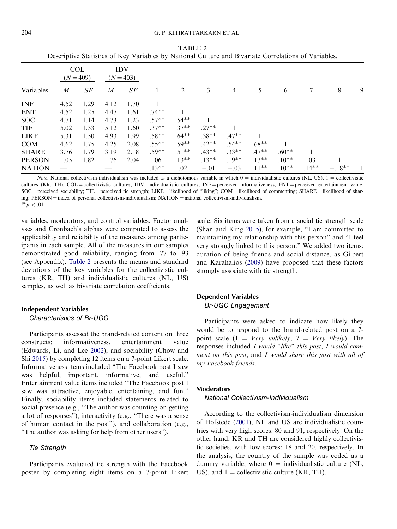<span id="page-8-0"></span>

|               | <b>COL</b><br>$(N = 409)$ |      | <b>IDV</b><br>$(N = 403)$ |      |          |          |          |          |         |         |          |          |   |
|---------------|---------------------------|------|---------------------------|------|----------|----------|----------|----------|---------|---------|----------|----------|---|
| Variables     | $\boldsymbol{M}$          | SЕ   | M                         | SE   |          | 2        | 3        | 4        | 5       | 6       |          | 8        | 9 |
| <b>INF</b>    | 4.52                      | 1.29 | 4.12                      | 1.70 |          |          |          |          |         |         |          |          |   |
| <b>ENT</b>    | 4.52                      | 1.25 | 4.47                      | 1.61 | $.74***$ |          |          |          |         |         |          |          |   |
| <b>SOC</b>    | 4.71                      | 1.14 | 4.73                      | 1.23 | $.57**$  | $.54**$  |          |          |         |         |          |          |   |
| TIE           | 5.02                      | 1.33 | 5.12                      | 1.60 | $.37**$  | $.37**$  | $.27**$  |          |         |         |          |          |   |
| <b>LIKE</b>   | 5.31                      | 1.50 | 4.93                      | 1.99 | $.58**$  | $.64**$  | $.38**$  | $.47**$  |         |         |          |          |   |
| <b>COM</b>    | 4.62                      | 1.75 | 4.25                      | 2.08 | $.55**$  | $.59**$  | $.42**$  | $.54***$ | $.68**$ |         |          |          |   |
| <b>SHARE</b>  | 3.76                      | 1.79 | 3.19                      | 2.18 | $.59**$  | $.51***$ | $.43**$  | $.33**$  | $.47**$ | $.60**$ |          |          |   |
| <b>PERSON</b> | .05                       | 1.82 | .76                       | 2.04 | .06      | $.13***$ | $.13***$ | $.19**$  | $.13**$ | $.10**$ | .03      |          |   |
| <b>NATION</b> |                           |      |                           |      | $.13***$ | .02      | $-.01$   | $-.03$   | $.11**$ | $.10**$ | $.14***$ | $-.18**$ |   |

TABLE 2 Descriptive Statistics of Key Variables by National Culture and Bivariate Correlations of Variables.

Note. National collectivism-individualism was included as a dichotomous variable in which  $0 =$  individualistic cultures (NL, US),  $1 =$  collectivistic cultures (KR, TH). COL = collectivistic cultures; IDV: individualistic cultures; INF = perceived informativeness; ENT = perceived entertainment value; SOC = perceived sociability; TIE = perceived tie strength; LIKE = likelihood of "liking"; COM = likelihood of commenting; SHARE = likelihood of sharing; PERSON = index of personal collectivism-individualism; NATION = national collectivism-individualism. \*\*  $p < .01$ .

variables, moderators, and control variables. Factor analyses and Cronbach's alphas were computed to assess the applicability and reliability of the measures among participants in each sample. All of the measures in our samples demonstrated good reliability, ranging from .77 to .93 (see Appendix). Table 2 presents the means and standard deviations of the key variables for the collectivistic cultures (KR, TH) and individualistic cultures (NL, US) samples, as well as bivariate correlation coefficients.

#### Independent Variables Characteristics of Br-UGC

Participants assessed the brand-related content on three constructs: informativeness, entertainment value (Edwards, Li, and Lee [2002](#page-15-0)), and sociability (Chow and Shi [2015](#page-14-0)) by completing 12 items on a 7-point Likert scale. Informativeness items included "The Facebook post I saw was helpful, important, informative, and useful." Entertainment value items included "The Facebook post I saw was attractive, enjoyable, entertaining, and fun." Finally, sociability items included statements related to social presence (e.g., "The author was counting on getting a lot of responses"), interactivity (e.g., "There was a sense of human contact in the post"), and collaboration (e.g., "The author was asking for help from other users").

#### Tie Strength

Participants evaluated tie strength with the Facebook poster by completing eight items on a 7-point Likert scale. Six items were taken from a social tie strength scale (Shan and King [2015\)](#page-15-0), for example, "I am committed to maintaining my relationship with this person" and "I feel very strongly linked to this person." We added two items: duration of being friends and social distance, as Gilbert and Karahalios ([2009\)](#page-15-0) have proposed that these factors strongly associate with tie strength.

# Dependent Variables Br-UGC Engagement

Participants were asked to indicate how likely they would be to respond to the brand-related post on a 7 point scale  $(1 = Very \text{ unlikely}, 7 = Very \text{likely}).$  The responses included I would "like" this post, I would comment on this post, and I would share this post with all of my Facebook friends.

#### **Moderators**

#### National Collectivism-Individualism

According to the collectivism-individualism dimension of Hofstede [\(2001](#page-15-0)), NL and US are individualistic countries with very high scores: 80 and 91, respectively. On the other hand, KR and TH are considered highly collectivistic societies, with low scores: 18 and 20, respectively. In the analysis, the country of the sample was coded as a dummy variable, where  $0 =$  individualistic culture (NL, US), and  $1 =$  collectivistic culture (KR, TH).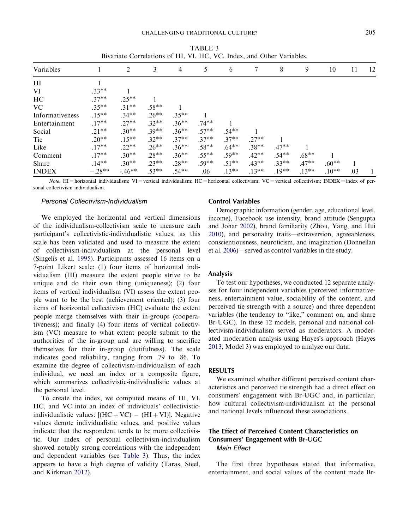<span id="page-9-0"></span>

|                 |          |          |          |          | $-1$     |          |          |         |          |         |     |              |
|-----------------|----------|----------|----------|----------|----------|----------|----------|---------|----------|---------|-----|--------------|
| Variables       |          | 2        | 3        | 4        | 5        | 6        | 7        | 8       | 9        | 10      | 11  | 12           |
| НI              |          |          |          |          |          |          |          |         |          |         |     |              |
| VI              | $.33**$  |          |          |          |          |          |          |         |          |         |     |              |
| HC              | $.37**$  | $.25**$  |          |          |          |          |          |         |          |         |     |              |
| <b>VC</b>       | $.35***$ | $.31**$  | $.58**$  |          |          |          |          |         |          |         |     |              |
| Informativeness | $.15***$ | $.34**$  | $.26***$ | $.35***$ |          |          |          |         |          |         |     |              |
| Entertainment   | $.17**$  | $.27**$  | $.32**$  | $.36**$  | $.74***$ |          |          |         |          |         |     |              |
| Social          | $.21**$  | $.30**$  | $.39**$  | $.36**$  | $.57**$  | $.54**$  |          |         |          |         |     |              |
| Tie             | $.20**$  | $.15***$ | $.32**$  | $.37**$  | $.37**$  | $.37**$  | $.27**$  |         |          |         |     |              |
| Like            | $.17***$ | $.22**$  | $.26***$ | $.36***$ | $.58**$  | $.64***$ | $.38**$  | $.47**$ |          |         |     |              |
| Comment         | $.17***$ | $.30**$  | $.28**$  | $.36**$  | $.55***$ | $.59**$  | $.42**$  | $.54**$ | $.68**$  |         |     |              |
| Share           | $.14**$  | $.30**$  | $.23**$  | $.28**$  | $.59**$  | $.51**$  | $.43**$  | $.33**$ | $.47**$  | $.60**$ |     |              |
| <b>INDEX</b>    | $-.28**$ | $-.46**$ | $.53**$  | $.54**$  | .06      | $.13***$ | $.13***$ | $.19**$ | $.13***$ | $.10**$ | .03 | $\mathbf{1}$ |

TABLE 3 Bivariate Correlations of HI, VI, HC, VC, Index, and Other Variables.

Note. HI = horizontal individualism; VI = vertical individualism; HC = horizontal collectivism; VC = vertical collectivism; INDEX = index of personal collectivism-individualism.

#### Personal Collectivism-Individualism

We employed the horizontal and vertical dimensions of the individualism-collectivism scale to measure each participant's collectivistic-individualistic values, as this scale has been validated and used to measure the extent of collectivism-individualism at the personal level (Singelis et al. [1995\)](#page-15-0). Participants assessed 16 items on a 7-point Likert scale: (1) four items of horizontal individualism (HI) measure the extent people strive to be unique and do their own thing (uniqueness); (2) four items of vertical individualism (VI) assess the extent people want to be the best (achievement oriented); (3) four items of horizontal collectivism (HC) evaluate the extent people merge themselves with their in-groups (cooperativeness); and finally (4) four items of vertical collectivism (VC) measure to what extent people submit to the authorities of the in-group and are willing to sacrifice themselves for their in-group (dutifulness). The scale indicates good reliability, ranging from .79 to .86. To examine the degree of collectivism-individualism of each individual, we need an index or a composite figure, which summarizes collectivistic-individualistic values at the personal level.

To create the index, we computed means of HI, VI, HC, and VC into an index of individuals' collectivisticindividualistic values:  $[(HC + VC) - (HI + VI)]$ . Negative values denote individualistic values, and positive values indicate that the respondent tends to be more collectivistic. Our index of personal collectivism-individualism showed notably strong correlations with the independent and dependent variables (see Table 3). Thus, the index appears to have a high degree of validity (Taras, Steel, and Kirkman [2012](#page-15-0)).

### Control Variables

Demographic information (gender, age, educational level, income), Facebook use intensity, brand attitude (Sengupta and Johar [2002\)](#page-15-0), brand familiarity (Zhou, Yang, and Hui [2010](#page-15-0)), and personality traits—extraversion, agreeableness, conscientiousness, neuroticism, and imagination (Donnellan et al. [2006](#page-15-0))—served as control variables in the study.

# Analysis

To test our hypotheses, we conducted 12 separate analyses for four independent variables (perceived informativeness, entertainment value, sociability of the content, and perceived tie strength with a source) and three dependent variables (the tendency to "like," comment on, and share Br-UGC). In these 12 models, personal and national collectivism-individualism served as moderators. A moderated moderation analysis using Hayes's approach (Hayes [2013,](#page-15-0) Model 3) was employed to analyze our data.

#### RESULTS

We examined whether different perceived content characteristics and perceived tie strength had a direct effect on consumers' engagement with Br-UGC and, in particular, how cultural collectivism-individualism at the personal and national levels influenced these associations.

# The Effect of Perceived Content Characteristics on Consumers' Engagement with Br-UGC Main Effect

The first three hypotheses stated that informative, entertainment, and social values of the content made Br-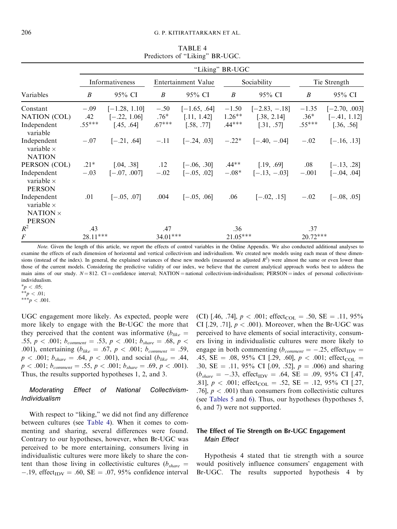<span id="page-10-0"></span>

|                                                                      |                  | "Liking" BR-UGC |                  |                     |                  |                |              |                 |  |  |  |  |  |
|----------------------------------------------------------------------|------------------|-----------------|------------------|---------------------|------------------|----------------|--------------|-----------------|--|--|--|--|--|
|                                                                      |                  | Informativeness |                  | Entertainment Value |                  | Sociability    | Tie Strength |                 |  |  |  |  |  |
| Variables                                                            | $\boldsymbol{B}$ | 95% CI          | $\boldsymbol{B}$ | 95% CI              | $\boldsymbol{B}$ | 95% CI         | B            | 95% CI          |  |  |  |  |  |
| Constant                                                             | $-.09$           | $[-1.28, 1.10]$ | $-.50$           | $[-1.65, .64]$      | $-1.50$          | $[-2.83, -18]$ | $-1.35$      | $[-2.70, .003]$ |  |  |  |  |  |
| <b>NATION</b> (COL)                                                  | .42              | $[-.22, 1.06]$  | $.76*$           | [.11, 1.42]         | $1.26**$         | [.38, 2.14]    | $.36*$       | $[-.41, 1.12]$  |  |  |  |  |  |
| Independent<br>variable                                              | $.55***$         | [.45, .64]      | $.67***$         | [.58, .77]          | $.44***$         | [.31, .57]     | $.55***$     | [.36, .56]      |  |  |  |  |  |
| Independent<br>variable $\times$<br><b>NATION</b>                    | $-.07$           | $[-.21, .64]$   | $-.11$           | $[-.24, .03]$       | $-.22*$          | $[-.40, -.04]$ | $-.02$       | $[-.16, .13]$   |  |  |  |  |  |
| PERSON (COL)                                                         | $.21*$           | [.04, .38]      | .12              | $[-.06, .30]$       | $.44**$          | [.19, .69]     | $.08\,$      | $[-.13, .28]$   |  |  |  |  |  |
| Independent<br>variable $\times$<br><b>PERSON</b>                    | $-.03$           | $[-.07, .007]$  | $-.02$           | $[-.05, .02]$       | $-.08*$          | $[-.13, -.03]$ | $-.001$      | $[-.04, .04]$   |  |  |  |  |  |
| Independent<br>variable $\times$<br>NATION $\times$<br><b>PERSON</b> | .01              | $[-.05, .07]$   | .004             | $[-.05, .06]$       | .06              | $[-.02, .15]$  | $-.02$       | $[-.08, .05]$   |  |  |  |  |  |
| $R^2$                                                                | .43              |                 | .47              |                     | .36              |                | .37          |                 |  |  |  |  |  |
| $\overline{F}$                                                       | $28.11***$       |                 | $34.01***$       |                     | $21.05***$       |                | $20.72***$   |                 |  |  |  |  |  |

TABLE 4 Predictors of "Liking" BR-UGC.

Note. Given the length of this article, we report the effects of control variables in the Online Appendix. We also conducted additional analyses to examine the effects of each dimension of horizontal and vertical collectivism and individualism. We created new models using each mean of these dimensions (instead of the index). In general, the explained variances of these new models (measured as adjusted  $R^2$ ) were almost the same or even lower than<br>those of the current models. Considering the predictive validity o those of the current models. Considering the predictive validity of our index, we believe that the current analytical approach works best to address the main aims of our study.  $N = 812$ . CI = confidence interval; NATION = national collectivism-individualism; PERSON = index of personal collectivismindividualism.

UGC engagement more likely. As expected, people were more likely to engage with the Br-UGC the more that they perceived that the content was informative  $(b_{like} =$ .55,  $p$  < .001;  $b_{comment}$  = .53,  $p$  < .001;  $b_{share}$  = .68,  $p$  < .001), entertaining ( $b_{like} = .67, p < .001; b_{comment} = .59,$  $p < .001$ ;  $b_{share} = .64$ ,  $p < .001$ ), and social ( $b_{like} = .44$ ,  $p < .001; b_{comment} = .55, p < .001; b_{share} = .69, p < .001$ . Thus, the results supported hypotheses 1, 2, and 3.

# Moderating Effect of National Collectivism-Individualism

With respect to "liking," we did not find any difference between cultures (see Table 4). When it comes to commenting and sharing, several differences were found. Contrary to our hypotheses, however, when Br-UGC was perceived to be more entertaining, consumers living in individualistic cultures were more likely to share the content than those living in collectivistic cultures  $(b_{share}$  $-.19$ , effect<sub>IDV</sub> = .60, SE = .07, 95% confidence interval (CI) [.46, .74],  $p < .001$ ; effect<sub>COL</sub> = .50, SE = .11, 95% CI [.29, .71],  $p < .001$ ). Moreover, when the Br-UGC was perceived to have elements of social interactivity, consumers living in individualistic cultures were more likely to engage in both commenting ( $b_{comment} = -.25$ , effect<sub>IDV</sub> = .45, SE = .08, 95% CI [.29, .60],  $p < .001$ ; effect<sub>COL</sub> = .30, SE = .11, 95% CI [.09, .52],  $p = .006$  and sharing  $(b_{share} = -.33,$  effect<sub>IDV</sub> = .64, SE = .09, 95% CI [.47, .81],  $p < .001$ ; effect<sub>COL</sub> = .52, SE = .12, 95% CI [.27, .76],  $p < .001$ ) than consumers from collectivistic cultures (see [Tables 5](#page-11-0) and [6](#page-12-0)). Thus, our hypotheses (hypotheses 5, 6, and 7) were not supported.

# The Effect of Tie Strength on Br-UGC Engagement Main Effect

Hypothesis 4 stated that tie strength with a source would positively influence consumers' engagement with Br-UGC. The results supported hypothesis 4 by

 $*_{p} < .05$ ;<br> $*_{p} < .01$ ;<br> $*_{p} < .001$ .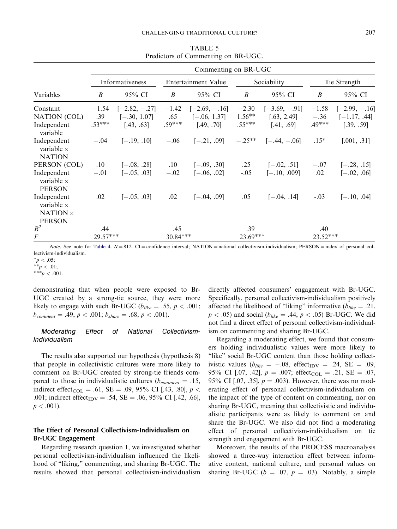<span id="page-11-0"></span>

|                                                                      | Commenting on BR-UGC |                  |                  |                     |                  |                 |                  |                |  |  |  |
|----------------------------------------------------------------------|----------------------|------------------|------------------|---------------------|------------------|-----------------|------------------|----------------|--|--|--|
|                                                                      |                      | Informativeness  |                  | Entertainment Value |                  | Sociability     | Tie Strength     |                |  |  |  |
| Variables                                                            | $\boldsymbol{B}$     | 95% CI           | $\boldsymbol{B}$ | 95% CI              | $\boldsymbol{B}$ | 95% CI          | $\boldsymbol{B}$ | 95% CI         |  |  |  |
| Constant                                                             | $-1.54$              | $[-2.82, -0.27]$ | $-1.42$          | $[-2.69, -0.16]$    | $-2.30$          | $[-3.69, -.91]$ | $-1.58$          | $[-2.99, -16]$ |  |  |  |
| <b>NATION</b> (COL)                                                  | .39                  | $[-.30, 1.07]$   | .65              | $[-.06, 1.37]$      | $1.56***$        | [.63, 2.49]     | $-.36$           | $[-1.17, .44]$ |  |  |  |
| Independent<br>variable                                              | $.53***$             | [.43, .63]       | $.59***$         | [.49, .70]          | $.55***$         | [.41, .69]      | $.49***$         | [.39, .59]     |  |  |  |
| Independent<br>variable $\times$<br><b>NATION</b>                    | $-.04$               | $[-.19, .10]$    | $-.06$           | $[-.21, .09]$       | $-.25**$         | $[-.44, -.06]$  | $.15*$           | [.001, .31]    |  |  |  |
| PERSON (COL)                                                         | .10                  | $[-.08, .28]$    | .10              | $[-.09, .30]$       | .25              | $[-.02, .51]$   | $-.07$           | $[-.28, .15]$  |  |  |  |
| Independent<br>variable $\times$<br><b>PERSON</b>                    | $-.01$               | $[-.05, .03]$    | $-.02$           | $[-.06, .02]$       | $-.05$           | $[-.10, .009]$  | .02              | $[-.02, .06]$  |  |  |  |
| Independent<br>variable $\times$<br>NATION $\times$<br><b>PERSON</b> | .02                  | $[-.05, .03]$    | .02              | $[-.04, .09]$       | .05              | $[-.04, .14]$   | $-.03$           | $[-.10, .04]$  |  |  |  |
| $R^2$                                                                | .44                  |                  | .45              |                     | .39              |                 | .40              |                |  |  |  |
| F                                                                    | $29.57***$           |                  | $30.84***$       |                     | $23.69***$       |                 | $23.52***$       |                |  |  |  |

TABLE 5 Predictors of Commenting on BR-UGC.

Note. See note for [Table 4](#page-10-0).  $N=812$ . CI = confidence interval; NATION = national collectivism-individualism; PERSON = index of personal collectivism-individualism.

 $*_{p} < .05$ ;<br> $*_{p} < .01$ ;<br> $*_{p} < .001$ .

demonstrating that when people were exposed to Br-UGC created by a strong-tie source, they were more likely to engage with such Br-UGC ( $b_{like} = .55$ ,  $p < .001$ ;  $b_{comment} = .49, p < .001; b_{share} = .68, p < .001$ .

# Moderating Effect of National Collectivism-Individualism

The results also supported our hypothesis (hypothesis 8) that people in collectivistic cultures were more likely to comment on Br-UGC created by strong-tie friends compared to those in individualistic cultures ( $b_{comment} = .15$ , indirect effect<sub>COL</sub> = .61, SE = .09, 95% CI [.43, .80],  $p <$ .001; indirect effect<sub>IDV</sub> = .54, SE = .06, 95% CI [.42, .66],  $p < .001$ ).

# The Effect of Personal Collectivism-Individualism on Br-UGC Engagement

Regarding research question 1, we investigated whether personal collectivism-individualism influenced the likelihood of "liking," commenting, and sharing Br-UGC. The results showed that personal collectivism-individualism

directly affected consumers' engagement with Br-UGC. Specifically, personal collectivism-individualism positively affected the likelihood of "liking" informative ( $b_{like} = .21$ ,  $p < .05$ ) and social ( $b_{like} = .44$ ,  $p < .05$ ) Br-UGC. We did not find a direct effect of personal collectivism-individualism on commenting and sharing Br-UGC.

Regarding a moderating effect, we found that consumers holding individualistic values were more likely to "like" social Br-UGC content than those holding collectivistic values ( $b_{like} = -.08$ , effect<sub>IDV</sub> = .24, SE = .09, 95% CI [.07, .42],  $p = .007$ ; effect<sub>COL</sub> = .21, SE = .07, 95% CI [.07, .35],  $p = .003$ ). However, there was no moderating effect of personal collectivism-individualism on the impact of the type of content on commenting, nor on sharing Br-UGC, meaning that collectivistic and individualistic participants were as likely to comment on and share the Br-UGC. We also did not find a moderating effect of personal collectivism-individualism on tie strength and engagement with Br-UGC.

Moreover, the results of the PROCESS macroanalysis showed a three-way interaction effect between informative content, national culture, and personal values on sharing Br-UGC ( $b = .07$ ,  $p = .03$ ). Notably, a simple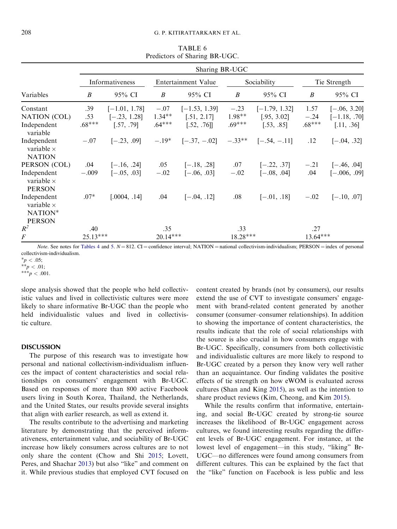<span id="page-12-0"></span>

|                                                              | Sharing BR-UGC   |                 |                  |                         |                  |                 |                  |                |  |  |  |  |
|--------------------------------------------------------------|------------------|-----------------|------------------|-------------------------|------------------|-----------------|------------------|----------------|--|--|--|--|
|                                                              |                  | Informativeness |                  | Entertainment Value     |                  | Sociability     | Tie Strength     |                |  |  |  |  |
| Variables                                                    | $\boldsymbol{B}$ | 95% CI          | $\boldsymbol{B}$ | 95% CI                  | $\boldsymbol{B}$ | 95% CI          | $\boldsymbol{B}$ | 95% CI         |  |  |  |  |
| Constant                                                     | .39              | $[-1.01, 1.78]$ | $-.07$           | $[-1.53, 1.39]$         | $-.23$           | $[-1.79, 1.32]$ | 1.57             | $[-.06, 3.20]$ |  |  |  |  |
| <b>NATION</b> (COL)                                          | .53              | $[-.23, 1.28]$  | $1.34**$         | [.51, 2.17]             | $1.98**$         | [.95, 3.02]     | $-.24$           | $[-1.18, .70]$ |  |  |  |  |
| Independent<br>variable                                      | $.68***$         | [.57, .79]      | $.64***$         | [.52, .76]              | $.69***$         | [.53, .85]      | $.68***$         | [.11, .36]     |  |  |  |  |
| Independent<br>variable $\times$<br><b>NATION</b>            | $-.07$           | $[-.23, .09]$   | $-.19*$          | $[-.37, -.02]$ $-.33**$ |                  | $[-.54, -.11]$  | .12              | $[-.04, .32]$  |  |  |  |  |
| PERSON (COL)                                                 | .04              | $[-.16, .24]$   | .05              | $[-.18, .28]$           | .07              | $[-.22, .37]$   | $-.21$           | $[-.46, .04]$  |  |  |  |  |
| Independent<br>variable $\times$<br><b>PERSON</b>            | $-.009$          | $[-.05, .03]$   | $-.02$           | $[-.06, .03]$           | $-.02$           | $[-.08, .04]$   | $.04\,$          | $[-.006, .09]$ |  |  |  |  |
| Independent<br>variable $\times$<br>NATION*<br><b>PERSON</b> | $.07*$           | [.0004, .14]    | .04              | $[-.04, .12]$           | $.08\,$          | $[-.01, .18]$   | $-.02$           | $[-.10, .07]$  |  |  |  |  |
| $R^2$                                                        | .40              |                 | .35              |                         | .33              |                 | .27              |                |  |  |  |  |
| F                                                            | $25.13***$       |                 | $20.14***$       |                         | $18.28***$       |                 | $13.64***$       |                |  |  |  |  |

TABLE 6 Predictors of Sharing BR-UGC.

Note. See notes for [Tables 4](#page-10-0) and [5](#page-11-0).  $N = 812$ . CI = confidence interval; NATION = national collectivism-individualism; PERSON = index of personal collectivism-individualism.

 $*_{p} < .05$ ;<br>\*\* $_{p} < .01$ ;<br>\*\*\* $_{p} < .001$ .

slope analysis showed that the people who held collectivistic values and lived in collectivistic cultures were more likely to share informative Br-UGC than the people who held individualistic values and lived in collectivistic culture.

#### **DISCUSSION**

The purpose of this research was to investigate how personal and national collectivism-individualism influences the impact of content characteristics and social relationships on consumers' engagement with Br-UGC. Based on responses of more than 800 active Facebook users living in South Korea, Thailand, the Netherlands, and the United States, our results provide several insights that align with earlier research, as well as extend it.

The results contribute to the advertising and marketing literature by demonstrating that the perceived informativeness, entertainment value, and sociability of Br-UGC increase how likely consumers across cultures are to not only share the content (Chow and Shi [2015;](#page-14-0) Lovett, Peres, and Shachar [2013](#page-15-0)) but also "like" and comment on it. While previous studies that employed CVT focused on

content created by brands (not by consumers), our results extend the use of CVT to investigate consumers' engagement with brand-related content generated by another consumer (consumer–consumer relationships). In addition to showing the importance of content characteristics, the results indicate that the role of social relationships with the source is also crucial in how consumers engage with Br-UGC. Specifically, consumers from both collectivistic and individualistic cultures are more likely to respond to Br-UGC created by a person they know very well rather than an acquaintance. Our finding validates the positive effects of tie strength on how eWOM is evaluated across cultures (Shan and King [2015\)](#page-15-0), as well as the intention to share product reviews (Kim, Cheong, and Kim [2015\)](#page-15-0).

While the results confirm that informative, entertaining, and social Br-UGC created by strong-tie source increases the likelihood of Br-UGC engagement across cultures, we found interesting results regarding the different levels of Br-UGC engagement. For instance, at the lowest level of engagement—in this study, "liking" Br-UGC—no differences were found among consumers from different cultures. This can be explained by the fact that the "like" function on Facebook is less public and less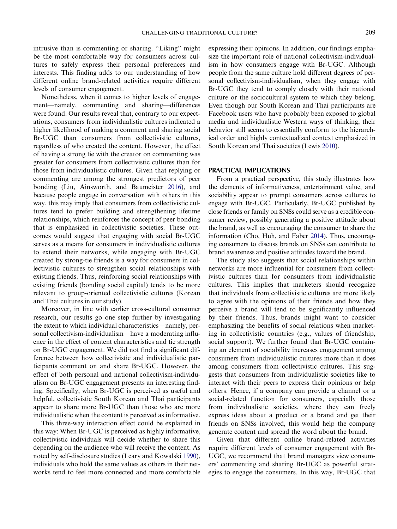<span id="page-13-0"></span>intrusive than is commenting or sharing. "Liking" might be the most comfortable way for consumers across cultures to safely express their personal preferences and interests. This finding adds to our understanding of how different online brand-related activities require different levels of consumer engagement.

Nonetheless, when it comes to higher levels of engagement—namely, commenting and sharing—differences were found. Our results reveal that, contrary to our expectations, consumers from individualistic cultures indicated a higher likelihood of making a comment and sharing social Br-UGC than consumers from collectivistic cultures, regardless of who created the content. However, the effect of having a strong tie with the creator on commenting was greater for consumers from collectivistic cultures than for those from individualistic cultures. Given that replying or commenting are among the strongest predictors of peer bonding (Liu, Ainsworth, and Baumeister [2016](#page-15-0)), and because people engage in conversation with others in this way, this may imply that consumers from collectivistic cultures tend to prefer building and strengthening lifetime relationships, which reinforces the concept of peer bonding that is emphasized in collectivistic societies. These outcomes would suggest that engaging with social Br-UGC serves as a means for consumers in individualistic cultures to extend their networks, while engaging with Br-UGC created by strong-tie friends is a way for consumers in collectivistic cultures to strengthen social relationships with existing friends. Thus, reinforcing social relationships with existing friends (bonding social capital) tends to be more relevant to group-oriented collectivistic cultures (Korean and Thai cultures in our study).

Moreover, in line with earlier cross-cultural consumer research, our results go one step further by investigating the extent to which individual characteristics—namely, personal collectivism-individualism—have a moderating influence in the effect of content characteristics and tie strength on Br-UGC engagement. We did not find a significant difference between how collectivistic and individualistic participants comment on and share Br-UGC. However, the effect of both personal and national collectivism-individualism on Br-UGC engagement presents an interesting finding. Specifically, when Br-UGC is perceived as useful and helpful, collectivistic South Korean and Thai participants appear to share more Br-UGC than those who are more individualistic when the content is perceived as informative.

This three-way interaction effect could be explained in this way: When Br-UGC is perceived as highly informative, collectivistic individuals will decide whether to share this depending on the audience who will receive the content. As noted by self-disclosure studies (Leary and Kowalski [1990\)](#page-15-0), individuals who hold the same values as others in their networks tend to feel more connected and more comfortable expressing their opinions. In addition, our findings emphasize the important role of national collectivism-individualism in how consumers engage with Br-UGC. Although people from the same culture hold different degrees of personal collectivism-individualism, when they engage with Br-UGC they tend to comply closely with their national culture or the sociocultural system to which they belong. Even though our South Korean and Thai participants are Facebook users who have probably been exposed to global media and individualistic Western ways of thinking, their behavior still seems to essentially conform to the hierarchical order and highly contextualized context emphasized in South Korean and Thai societies (Lewis [2010\)](#page-15-0).

#### PRACTICAL IMPLICATIONS

From a practical perspective, this study illustrates how the elements of informativeness, entertainment value, and sociability appear to prompt consumers across cultures to engage with Br-UGC. Particularly, Br-UGC published by close friends or family on SNSs could serve as a credible consumer review, possibly generating a positive attitude about the brand, as well as encouraging the consumer to share the information (Cho, Huh, and Faber [2014](#page-14-0)). Thus, encouraging consumers to discuss brands on SNSs can contribute to brand awareness and positive attitudes toward the brand.

The study also suggests that social relationships within networks are more influential for consumers from collectivistic cultures than for consumers from individualistic cultures. This implies that marketers should recognize that individuals from collectivistic cultures are more likely to agree with the opinions of their friends and how they perceive a brand will tend to be significantly influenced by their friends. Thus, brands might want to consider emphasizing the benefits of social relations when marketing in collectivistic countries (e.g., values of friendship, social support). We further found that Br-UGC containing an element of sociability increases engagement among consumers from individualistic cultures more than it does among consumers from collectivistic cultures. This suggests that consumers from individualistic societies like to interact with their peers to express their opinions or help others. Hence, if a company can provide a channel or a social-related function for consumers, especially those from individualistic societies, where they can freely express ideas about a product or a brand and get their friends on SNSs involved, this would help the company generate content and spread the word about the brand.

Given that different online brand-related activities require different levels of consumer engagement with Br-UGC, we recommend that brand managers view consumers' commenting and sharing Br-UGC as powerful strategies to engage the consumers. In this way, Br-UGC that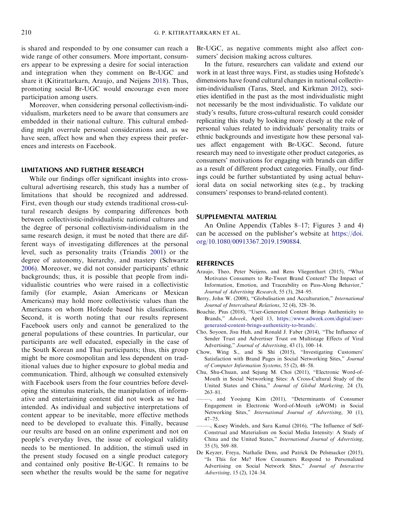<span id="page-14-0"></span>is shared and responded to by one consumer can reach a wide range of other consumers. More important, consumers appear to be expressing a desire for social interaction and integration when they comment on Br-UGC and share it (Kitirattarkarn, Araujo, and Neijens [2018](#page-15-0)). Thus, promoting social Br-UGC would encourage even more participation among users.

Moreover, when considering personal collectivism-individualism, marketers need to be aware that consumers are embedded in their national culture. This cultural embedding might overrule personal considerations and, as we have seen, affect how and when they express their preferences and interests on Facebook.

#### LIMITATIONS AND FURTHER RESEARCH

While our findings offer significant insights into crosscultural advertising research, this study has a number of limitations that should be recognized and addressed. First, even though our study extends traditional cross-cultural research designs by comparing differences both between collectivistic-individualistic national cultures and the degree of personal collectivism-individualism in the same research design, it must be noted that there are different ways of investigating differences at the personal level, such as personality traits (Triandis [2001\)](#page-15-0) or the degree of autonomy, hierarchy, and mastery (Schwartz [2006\)](#page-15-0). Moreover, we did not consider participants' ethnic backgrounds; thus, it is possible that people from individualistic countries who were raised in a collectivistic family (for example, Asian Americans or Mexican Americans) may hold more collectivistic values than the Americans on whom Hofstede based his classifications. Second, it is worth noting that our results represent Facebook users only and cannot be generalized to the general populations of these countries. In particular, our participants are well educated, especially in the case of the South Korean and Thai participants; thus, this group might be more cosmopolitan and less dependent on traditional values due to higher exposure to global media and communication. Third, although we consulted extensively with Facebook users from the four countries before developing the stimulus materials, the manipulation of informative and entertaining content did not work as we had intended. As individual and subjective interpretations of content appear to be inevitable, more effective methods need to be developed to evaluate this. Finally, because our results are based on an online experiment and not on people's everyday lives, the issue of ecological validity needs to be mentioned. In addition, the stimuli used in the present study focused on a single product category and contained only positive Br-UGC. It remains to be seen whether the results would be the same for negative

Br-UGC, as negative comments might also affect consumers' decision making across cultures.

In the future, researchers can validate and extend our work in at least three ways. First, as studies using Hofstede's dimensions have found cultural changes in national collectivism-individualism (Taras, Steel, and Kirkman [2012](#page-15-0)), societies identified in the past as the most individualistic might not necessarily be the most individualistic. To validate our study's results, future cross-cultural research could consider replicating this study by looking more closely at the role of personal values related to individuals' personality traits or ethnic backgrounds and investigate how these personal values affect engagement with Br-UGC. Second, future research may need to investigate other product categories, as consumers' motivations for engaging with brands can differ as a result of different product categories. Finally, our findings could be further substantiated by using actual behavioral data on social networking sites (e.g., by tracking consumers' responses to brand-related content).

#### SUPPLEMENTAL MATERIAL

An Online Appendix (Tables 8–17; Figures 3 and 4) can be accessed on the publisher's website at [https://doi.](https://doi.org/10.1080/00913367.2019.1590884) [org/10.1080/00913367.2019.1590884](https://doi.org/10.1080/00913367.2019.1590884).

#### REFERENCES

- Araujo, Theo, Peter Neijens, and Rens Vliegenthart [\(2015](#page-1-0)), "What Motivates Consumers to Re-Tweet Brand Content? The Impact of Information, Emotion, and Traceability on Pass-Along Behavior," Journal of Advertising Research, 55 (3), 284–95.
- Berry, John W. [\(2008](#page-5-0)), "Globalisation and Acculturation," International Journal of Intercultural Relations, 32 (4), 328–36.
- Boachie, Pius ([2018\)](#page-1-0), "User-Generated Content Brings Authenticity to Brands," Adweek, April 13, [https://www.adweek.com/digital/user](https://www.adweek.com/digital/user-generated-content-brings-authenticity-to-brands/)[generated-content-brings-authenticity-to-brands/](https://www.adweek.com/digital/user-generated-content-brings-authenticity-to-brands/).
- Cho, Soyoen, Jisu Huh, and Ronald J. Faber ([2014\)](#page-1-0), "The Influence of Sender Trust and Advertiser Trust on Multistage Effects of Viral Advertising," Journal of Advertising, 43 (1), 100-14.
- Chow, Wing S., and Si Shi ([2015](#page-1-0)), "Investigating Customers' Satisfaction with Brand Pages in Social Networking Sites," Journal of Computer Information Systems, 55 (2), 48–58.
- Chu, Shu-Chuan, and Sejung M. Choi [\(2011](#page-3-0)), "Electronic Word-of-Mouth in Social Networking Sites: A Cross-Cultural Study of the United States and China," Journal of Global Marketing, 24 (3), 263–81.
- ———, and Yoojung Kim ([2011\)](#page-3-0), "Determinants of Consumer Engagement in Electronic Word-of-Mouth (eWOM) in Social Networking Sites," International Journal of Advertising, 30 (1), 47–75.
- ———, Kasey Windels, and Sara Kamal ([2016\)](#page-4-0), "The Influence of Self-Construal and Materialism on Social Media Intensity: A Study of China and the United States," International Journal of Advertising, 35 (3), 569–88.
- De Keyzer, Freya, Nathalie Dens, and Patrick De Pelsmacker [\(2015](#page-7-0)), "Is This for Me? How Consumers Respond to Personalized Advertising on Social Network Sites," Journal of Interactive Advertising, 15 (2), 124–34.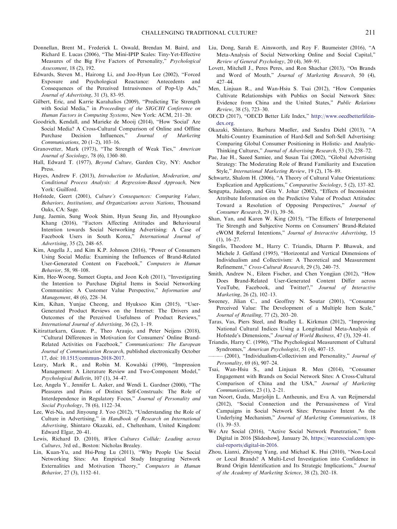- <span id="page-15-0"></span>Donnellan, Brent M., Frederick L. Oswald, Brendan M. Baird, and Richard E. Lucas ([2006\)](#page-9-0), "The Mini-IPIP Scales: Tiny-Yet-Effective Measures of the Big Five Factors of Personality," Psychological Assessment, 18 (2), 192.
- Edwards, Steven M., Hairong Li, and Joo-Hyun Lee [\(2002](#page-8-0)), "Forced Exposure and Psychological Reactance: Antecedents and Consequences of the Perceived Intrusiveness of Pop-Up Ads," Journal of Advertising, 31 (3), 83–95.
- Gilbert, Eric, and Karrie Karahalios [\(2009](#page-8-0)), "Predicting Tie Strength with Social Media," in Proceedings of the SIGCHI Conference on Human Factors in Computing Systems, New York: ACM, 211–20.
- Goodrich, Kendall, and Marieke de Mooij ([2014](#page-2-0)), "How 'Social' Are Social Media? A Cross-Cultural Comparison of Online and Offline Purchase Decision Influences," Journal of Marketing Communications, 20 (1–2), 103–16.
- Granovetter, Mark [\(1973](#page-3-0)), "The Strength of Weak Ties," American Journal of Sociology, 78 (6), 1360–80.
- Hall, Edward T. [\(1977](#page-3-0)), Beyond Culture, Garden City, NY: Anchor Press.
- Hayes, Andrew F. [\(2013](#page-9-0)), Introduction to Mediation, Moderation, and Conditional Process Analysis: A Regression-Based Approach, New York: Guilford.
- Hofstede, Geert ([2001\)](#page-2-0), Culture's Consequences: Comparing Values, Behaviors, Institutions, and Organizations across Nations, Thousand Oaks, CA: Sage.
- Jung, Jaemin, Sung Wook Shim, Hyun Seung Jin, and Hyoungkoo Khang [\(2016](#page-2-0)), "Factors Affecting Attitudes and Behavioural Intention towards Social Networking Advertising: A Case of Facebook Users in South Korea," International Journal of Advertising, 35 (2), 248–65.
- Kim, Angella J., and Kim K.P. Johnson ([2016\)](#page-1-0), "Power of Consumers Using Social Media: Examining the Influences of Brand-Related User-Generated Content on Facebook," Computers in Human Behavior, 58, 98–108.
- Kim, Hee-Woong, Sumeet Gupta, and Joon Koh [\(2011](#page-1-0)), "Investigating the Intention to Purchase Digital Items in Social Networking Communities: A Customer Value Perspective," Information and Management, 48 (6), 228–34.
- Kim, Kihan, Yunjae Cheong, and Hyuksoo Kim ([2015\)](#page-1-0), "User-Generated Product Reviews on the Internet: The Drivers and Outcomes of the Perceived Usefulness of Product Reviews," International Journal of Advertising, 36 (2), 1–19.
- Kitirattarkarn, Gauze. P., Theo Araujo, and Peter Neijens [\(2018](#page-2-0)), "Cultural Differences in Motivation for Consumers' Online Brand-Related Activities on Facebook," Communications: The European Journal of Communication Research, published electronically October 17, doi: [10.1515/commun-2018-2017.](https://doi.org/10.1515/commun-2018-2017)
- Leary, Mark R., and Robin M. Kowalski [\(1990](#page-13-0)), "Impression Management: A Literature Review and Two-Component Model," Psychological Bulletin, 107 (1), 34–47.
- Lee, Angela Y., Jennifer L. Aaker, and Wendi L. Gardner [\(2000](#page-5-0)), "The Pleasures and Pains of Distinct Self-Construals: The Role of Interdependence in Regulatory Focus," Journal of Personality and Social Psychology, 78 (6), 1122–34.
- Lee, Wei-Na, and Jinyoung J. Yoo [\(2012](#page-2-0)), "Understanding the Role of Culture in Advertising," in Handbook of Research on International Advertising, Shintaro Okazaki, ed., Cheltenham, United Kingdom: Edward Elgar, 20–41.
- Lewis, Richard D. [\(2010](#page-2-0)), When Cultures Collide: Leading across Cultures, 3rd ed., Boston: Nicholas Brealey.
- Lin, Kuan-Yu, and Hsi-Peng Lu [\(2011](#page-2-0)), "Why People Use Social Networking Sites: An Empirical Study Integrating Network Externalities and Motivation Theory," Computers in Human Behavior, 27 (3), 1152–61.
- Liu, Dong, Sarah E. Ainsworth, and Roy F. Baumeister ([2016\)](#page-5-0), "A Meta-Analysis of Social Networking Online and Social Capital," Review of General Psychology, 20 (4), 369–91.
- Lovett, Mitchell J., Peres Peres, and Ron Shachar ([2013\)](#page-2-0), "On Brands and Word of Mouth," Journal of Marketing Research, 50 (4), 427–44.
- Men, Linjuan R., and Wan-Hsiu S. Tsai ([2012\)](#page-3-0), "How Companies Cultivate Relationships with Publics on Social Network Sites: Evidence from China and the United States," Public Relations Review, 38 (5), 723–30.
- OECD [\(2017](#page-7-0)), "OECD Better Life Index," [http://www.oecdbetterlifein](http://www.oecdbetterlifeindex.org)[dex.org](http://www.oecdbetterlifeindex.org).
- Okazaki, Shintaro, Barbara Mueller, and Sandra Diehl ([2013\)](#page-6-0), "A Multi-Country Examination of Hard-Sell and Soft-Sell Advertising: Comparing Global Consumer Positioning in Holistic- and Analytic-Thinking Cultures," Journal of Advertising Research, 53 (3), 258–72.
- Pae, Jae H., Saeed Samiee, and Susan Tai [\(2002](#page-3-0)), "Global Advertising Strategy: The Moderating Role of Brand Familiarity and Execution Style," International Marketing Review, 19 (2), 176–89.
- Schwartz, Shalom H. [\(2006](#page-3-0)), "A Theory of Cultural Value Orientations: Explication and Applications," Comparative Sociology, 5 (2), 137–82.
- Sengupta, Jaideep, and Gita V. Johar [\(2002](#page-9-0)), "Effects of Inconsistent Attribute Information on the Predictive Value of Product Attitudes: Toward a Resolution of Opposing Perspectives," Journal of Consumer Research, 29 (1), 39–56.
- Shan, Yan, and Karen W. King [\(2015](#page-1-0)), "The Effects of Interpersonal Tie Strength and Subjective Norms on Consumers' Brand-Related eWOM Referral Intentions," Journal of Interactive Advertising, 15 (1), 16–27.
- Singelis, Theodore M., Harry C. Triandis, Dharm P. Bhawuk, and Michele J. Gelfand ([1995\)](#page-4-0), "Horizontal and Vertical Dimensions of Individualism and Collectivism: A Theoretical and Measurement Refinement," Cross-Cultural Research, 29 (3), 240–75.
- Smith, Andrew N., Eileen Fischer, and Chen Yongjian ([2012\)](#page-1-0), "How Does Brand-Related User-Generated Content Differ across YouTube, Facebook, and Twitter?," Journal of Interactive Marketing, 26 (2), 102–13.
- Sweeney, Jilian C., and Geoffrey N. Soutar [\(2001](#page-3-0)), "Consumer Perceived Value: The Development of a Multiple Item Scale," Journal of Retailing, 77 (2), 203–20.
- Taras, Vas, Piers Steel, and Bradley L. Kirkman ([2012\)](#page-9-0), "Improving National Cultural Indices Using a Longitudinal Meta-Analysis of Hofstede's Dimensions," Journal of World Business, 47 (3), 329–41.
- Triandis, Harry C. ([1996\)](#page-2-0), "The Psychological Measurement of Cultural Syndromes," American Psychologist, 51 (4), 407–15.
- ([2001\)](#page-3-0), "Individualism-Collectivism and Personality," Journal of Personality, 69 (6), 907–24.
- Tsai, Wan-Hsiu S., and Linjuan R. Men [\(2014](#page-5-0)), "Consumer Engagement with Brands on Social Network Sites: A Cross-Cultural Comparison of China and the USA," Journal of Marketing Communications, 23 (1), 2–21.
- van Noort, Guda, Marjolijn L. Antheunis, and Eva A. van Reijmersdal [\(2012](#page-1-0)), "Social Connection and the Persuasiveness of Viral Campaigns in Social Network Sites: Persuasive Intent As the Underlying Mechanism," Journal of Marketing Communications, 18 (1), 39–53.
- We Are Social [\(2016](#page-2-0)), "Active Social Network Penetration," from Digital in 2016 [Slideshow], January 26, [https://wearesocial.com/spe](https://wearesocial.com/special-reports/digital-in-2016)[cial-reports/digital-in-2016](https://wearesocial.com/special-reports/digital-in-2016).
- Zhou, Lianxi, Zhiyong Yang, and Michael K. Hui ([2010\)](#page-9-0), "Non-Local or Local Brands? A Multi-Level Investigation into Confidence in Brand Origin Identification and Its Strategic Implications," Journal of the Academy of Marketing Science, 38 (2), 202–18.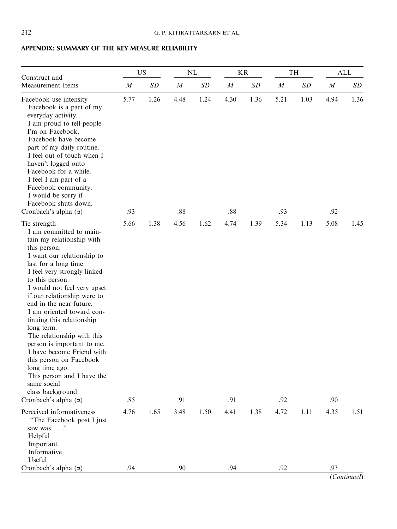APPENDIX: SUMMARY OF THE KEY MEASURE RELIABILITY

| Construct and<br><b>Measurement Items</b><br>$\cal SD$<br>$\cal SD$<br>$\boldsymbol{M}$<br>$\boldsymbol{M}$<br>$\boldsymbol{M}$<br>1.24<br>5.77<br>1.26<br>4.48<br>4.30<br>Facebook use intensity<br>Facebook is a part of my<br>everyday activity.<br>I am proud to tell people<br>I'm on Facebook.                                                                                                                                                                                                                                                                                                           | $\cal SD$<br>1.36 | $\boldsymbol{M}$<br>5.21 | SD<br>1.03 | $\cal M$<br>4.94 | SD          |
|----------------------------------------------------------------------------------------------------------------------------------------------------------------------------------------------------------------------------------------------------------------------------------------------------------------------------------------------------------------------------------------------------------------------------------------------------------------------------------------------------------------------------------------------------------------------------------------------------------------|-------------------|--------------------------|------------|------------------|-------------|
|                                                                                                                                                                                                                                                                                                                                                                                                                                                                                                                                                                                                                |                   |                          |            |                  |             |
| Facebook have become<br>part of my daily routine.<br>I feel out of touch when I<br>haven't logged onto<br>Facebook for a while.<br>I feel I am part of a<br>Facebook community.<br>I would be sorry if<br>Facebook shuts down.<br>$.88\,$<br>Cronbach's alpha $(\alpha)$<br>.93<br>.88                                                                                                                                                                                                                                                                                                                         |                   | .93                      |            | .92              | 1.36        |
| 5.66<br>1.38<br>4.56<br>1.62<br>Tie strength<br>4.74<br>I am committed to main-<br>tain my relationship with<br>this person.<br>I want our relationship to<br>last for a long time.<br>I feel very strongly linked<br>to this person.<br>I would not feel very upset<br>if our relationship were to<br>end in the near future.<br>I am oriented toward con-<br>tinuing this relationship<br>long term.<br>The relationship with this<br>person is important to me.<br>I have become Friend with<br>this person on Facebook<br>long time ago.<br>This person and I have the<br>same social<br>class background. | 1.39              | 5.34                     | 1.13       | 5.08             | 1.45        |
| Cronbach's alpha $(\alpha)$<br>.85<br>.91<br>.91                                                                                                                                                                                                                                                                                                                                                                                                                                                                                                                                                               |                   | .92                      |            | .90              |             |
| 4.76<br>Perceived informativeness<br>1.65<br>3.48<br>1.50<br>4.41<br>"The Facebook post I just<br>saw was"<br>Helpful<br>Important<br>Informative<br>Useful                                                                                                                                                                                                                                                                                                                                                                                                                                                    | 1.38              | 4.72                     | 1.11       | 4.35             | 1.51        |
| .94<br>Cronbach's alpha $(\alpha)$<br>.94<br>.90                                                                                                                                                                                                                                                                                                                                                                                                                                                                                                                                                               |                   | .92                      |            | .93              | (Continued) |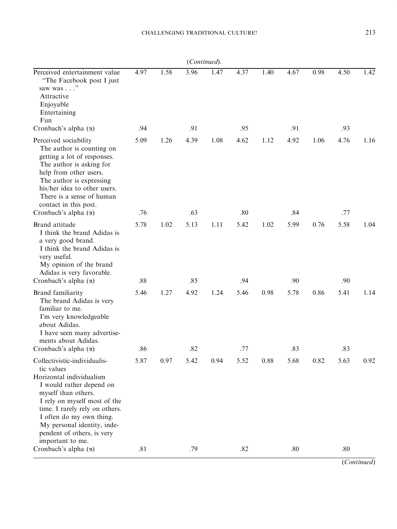|                                                                                                                                                                                                                                                                                                          |             |      |             | (Continued). |             |      |             |      |             |      |
|----------------------------------------------------------------------------------------------------------------------------------------------------------------------------------------------------------------------------------------------------------------------------------------------------------|-------------|------|-------------|--------------|-------------|------|-------------|------|-------------|------|
| Perceived entertainment value<br>"The Facebook post I just<br>saw was"<br>Attractive<br>Enjoyable<br>Entertaining<br>Fun<br>Cronbach's alpha $(\alpha)$                                                                                                                                                  | 4.97<br>.94 | 1.58 | 3.96<br>.91 | 1.47         | 4.37<br>.95 | 1.40 | 4.67<br>.91 | 0.98 | 4.50<br>.93 | 1.42 |
| Perceived sociability<br>The author is counting on<br>getting a lot of responses.<br>The author is asking for<br>help from other users.<br>The author is expressing<br>his/her idea to other users.<br>There is a sense of human<br>contact in this post.                                                | 5.09        | 1.26 | 4.39        | 1.08         | 4.62        | 1.12 | 4.92        | 1.06 | 4.76        | 1.16 |
| Cronbach's alpha $(\alpha)$                                                                                                                                                                                                                                                                              | .76         |      | .63         |              | .80         |      | .84         |      | .77         |      |
| Brand attitude<br>I think the brand Adidas is<br>a very good brand.<br>I think the brand Adidas is<br>very useful.<br>My opinion of the brand<br>Adidas is very favorable.                                                                                                                               | 5.78        | 1.02 | 5.13        | 1.11         | 5.42        | 1.02 | 5.99        | 0.76 | 5.58        | 1.04 |
| Cronbach's alpha $(\alpha)$                                                                                                                                                                                                                                                                              | .88         |      | .85         |              | .94         |      | .90         |      | .90         |      |
| <b>Brand familiarity</b><br>The brand Adidas is very<br>familiar to me.<br>I'm very knowledgeable<br>about Adidas.<br>I have seen many advertise-<br>ments about Adidas.                                                                                                                                 | 5.46        | 1.27 | 4.92        | 1.24         | 5.46        | 0.98 | 5.78        | 0.86 | 5.41        | 1.14 |
| Cronbach's alpha $(\alpha)$                                                                                                                                                                                                                                                                              | .86         |      | .82         |              | .77         |      | .83         |      | .83         |      |
| Collectivistic-individualis-<br>tic values<br>Horizontal individualism<br>I would rather depend on<br>myself than others.<br>I rely on myself most of the<br>time. I rarely rely on others.<br>I often do my own thing.<br>My personal identity, inde-<br>pendent of others, is very<br>important to me. | 5.87        | 0.97 | 5.42        | 0.94         | 5.52        | 0.88 | 5.68        | 0.82 | 5.63        | 0.92 |
| Cronbach's alpha $(\alpha)$                                                                                                                                                                                                                                                                              | .81         |      | .79         |              | .82         |      | .80         |      | .80         |      |

(Continued)